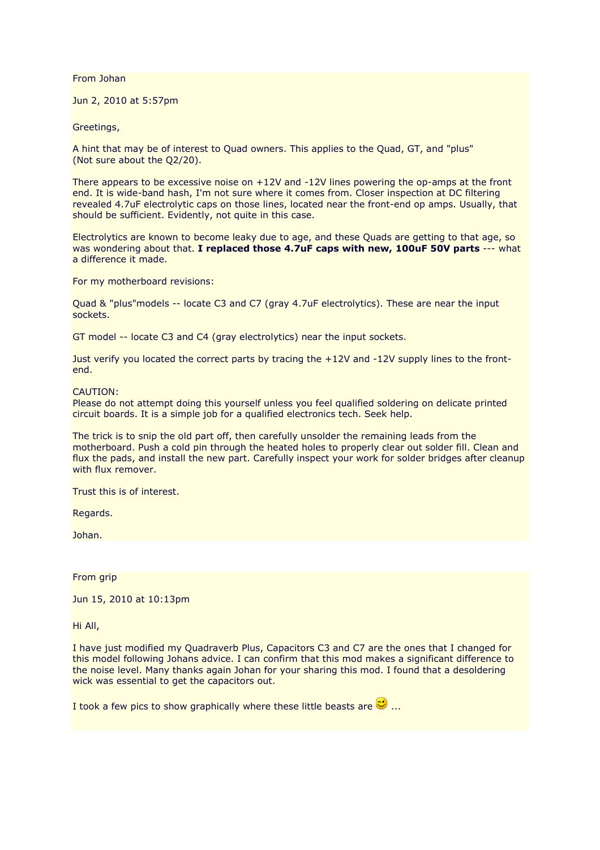From Johan

Jun 2, 2010 at 5:57pm

Greetings,

A hint that may be of interest to Quad owners. This applies to the Quad, GT, and "plus" (Not sure about the Q2/20).

There appears to be excessive noise on +12V and -12V lines powering the op-amps at the front end. It is wide-band hash, I'm not sure where it comes from. Closer inspection at DC filtering revealed 4.7uF electrolytic caps on those lines, located near the front-end op amps. Usually, that should be sufficient. Evidently, not quite in this case.

Electrolytics are known to become leaky due to age, and these Quads are getting to that age, so was wondering about that. **I replaced those 4.7uF caps with new, 100uF 50V parts** --- what a difference it made.

For my motherboard revisions:

Quad & "plus"models -- locate C3 and C7 (gray 4.7uF electrolytics). These are near the input sockets.

GT model -- locate C3 and C4 (gray electrolytics) near the input sockets.

Just verify you located the correct parts by tracing the +12V and -12V supply lines to the frontend.

## CAUTION:

Please do not attempt doing this yourself unless you feel qualified soldering on delicate printed circuit boards. It is a simple job for a qualified electronics tech. Seek help.

The trick is to snip the old part off, then carefully unsolder the remaining leads from the motherboard. Push a cold pin through the heated holes to properly clear out solder fill. Clean and flux the pads, and install the new part. Carefully inspect your work for solder bridges after cleanup with flux remover.

Trust this is of interest.

Regards.

Johan.

From grip

Jun 15, 2010 at 10:13pm

Hi All,

I have just modified my Quadraverb Plus, Capacitors C3 and C7 are the ones that I changed for this model following Johans advice. I can confirm that this mod makes a significant difference to the noise level. Many thanks again Johan for your sharing this mod. I found that a desoldering wick was essential to get the capacitors out.

I took a few pics to show graphically where these little beasts are  $\mathbb{C}$  ...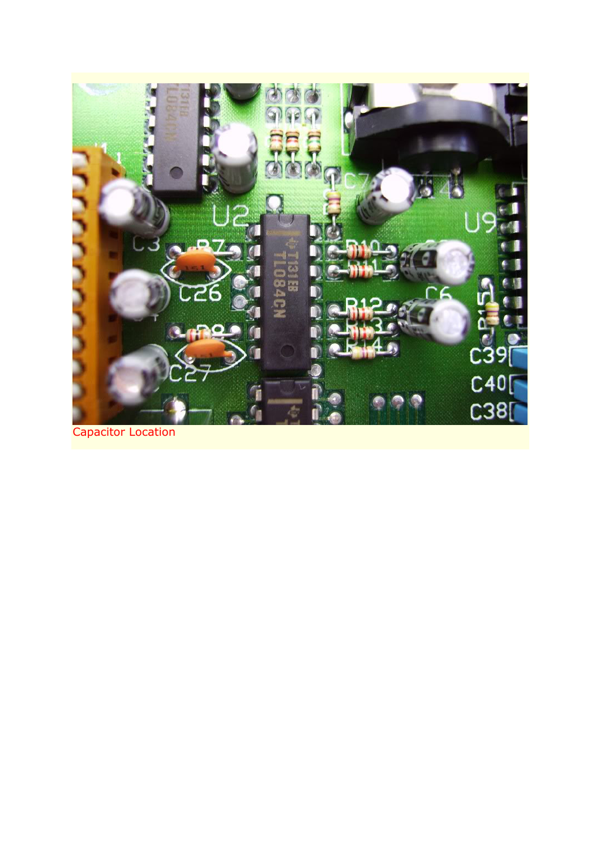

Capacitor Location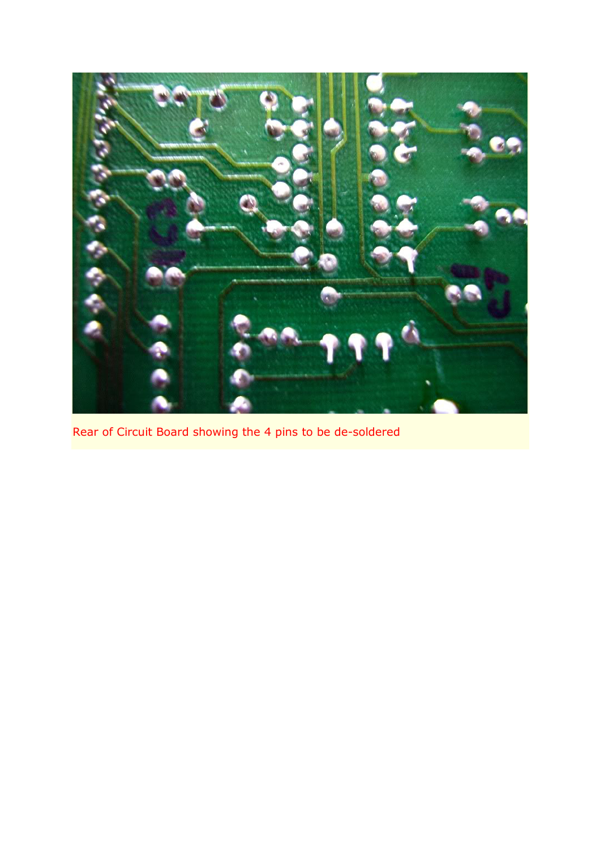

Rear of Circuit Board showing the 4 pins to be de-soldered